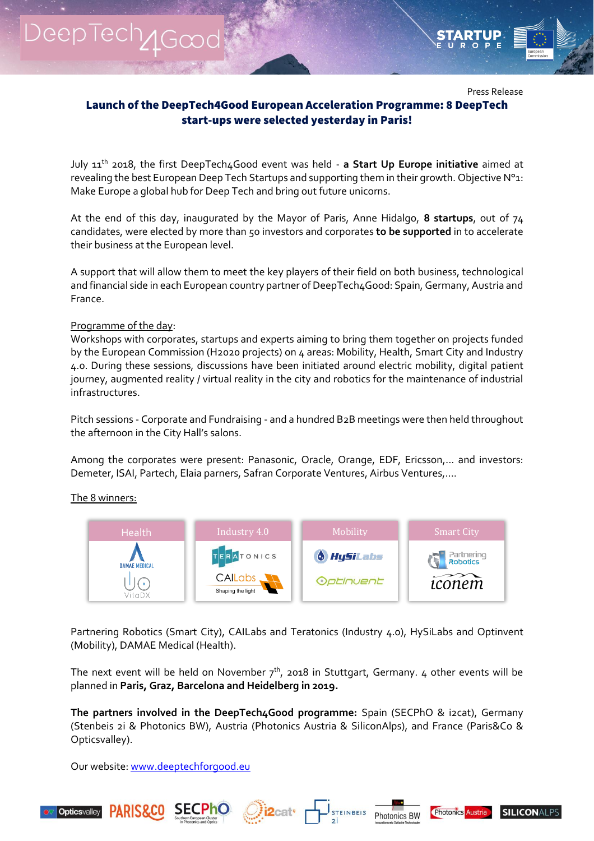DeepTech<sub>1Good</sub>



Press Release

## Launch of the DeepTech4Good European Acceleration Programme: 8 DeepTech start-ups were selected yesterday in Paris!

July 11th 2018, the first DeepTech4Good event was held - **a Start Up Europe initiative** aimed at revealing the best European Deep Tech Startups and supporting them in their growth. Objective N°1: Make Europe a global hub for Deep Tech and bring out future unicorns.

At the end of this day, inaugurated by the Mayor of Paris, Anne Hidalgo, **8 startups**, out of 74 candidates, were elected by more than 50 investors and corporates **to be supported** in to accelerate their business at the European level.

A support that will allow them to meet the key players of their field on both business, technological and financial side in each European country partner of DeepTech4Good: Spain, Germany, Austria and France.

## Programme of the day:

Workshops with corporates, startups and experts aiming to bring them together on projects funded by the European Commission (H2020 projects) on 4 areas: Mobility, Health, Smart City and Industry 4.0. During these sessions, discussions have been initiated around electric mobility, digital patient journey, augmented reality / virtual reality in the city and robotics for the maintenance of industrial infrastructures.

Pitch sessions - Corporate and Fundraising - and a hundred B2B meetings were then held throughout the afternoon in the City Hall's salons.

Among the corporates were present: Panasonic, Oracle, Orange, EDF, Ericsson,... and investors: Demeter, ISAI, Partech, Elaia parners, Safran Corporate Ventures, Airbus Ventures,....

## The 8 winners:



Partnering Robotics (Smart City), CAILabs and Teratonics (Industry 4.0), HySiLabs and Optinvent (Mobility), DAMAE Medical (Health).

The next event will be held on November  $7<sup>th</sup>$ , 2018 in Stuttgart, Germany. 4 other events will be planned in **Paris, Graz, Barcelona and Heidelberg in 2019.**

**The partners involved in the DeepTech4Good programme:** Spain (SECPhO & i2cat), Germany (Stenbeis 2i & Photonics BW), Austria (Photonics Austria & SiliconAlps), and France (Paris&Co & Opticsvalley).

Our website: [www.deeptechforgood.eu](http://www.deeptechforgood.eu/)